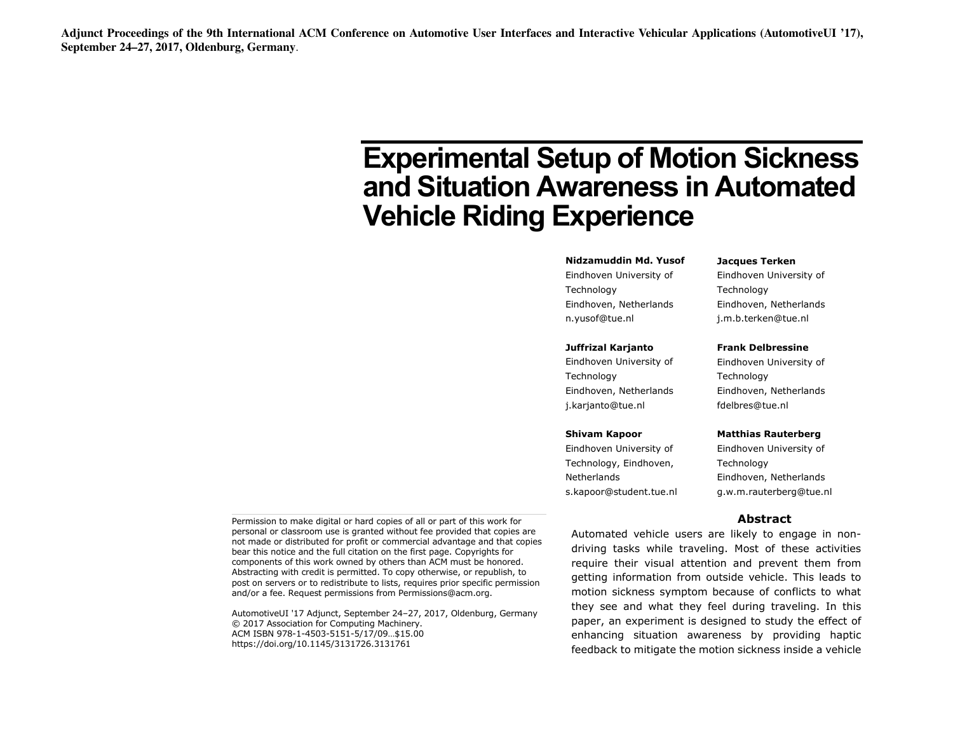# **Experimental Setup of Motion Sickness and Situation Awareness in Automated Vehicle Riding Experience**

#### **Nidzamuddin Md. Yusof**

Eindhoven University of Technology Eindhoven, Netherlands n.yusof@tue.nl

#### **Juffrizal Karjanto**

Eindhoven University of Technology Eindhoven, Netherlands j.karjanto@tue.nl

#### **Shivam Kapoor**

Eindhoven University of Technology, Eindhoven, **Netherlands** s.kapoor@student.tue.nl

### **Jacques Terken**

Eindhoven University of Technology Eindhoven, Netherlands j.m.b.terken@tue.nl

#### **Frank Delbressine**

Eindhoven University of Technology Eindhoven, Netherlands fdelbres@tue.nl

#### **Matthias Rauterberg**

Eindhoven University of Technology Eindhoven, Netherlands g.w.m.rauterberg@tue.nl

#### **Abstract**

Permission to make digital or hard copies of all or part of this work for personal or classroom use is granted without fee provided that copies are not made or distributed for profit or commercial advantage and that copies bear this notice and the full citation on the first page. Copyrights for components of this work owned by others than ACM must be honored. Abstracting with credit is permitted. To copy otherwise, or republish, to post on servers or to redistribute to lists, requires prior specific permission and/or a fee. Request permissions from Permissions@acm.org.

AutomotiveUI '17 Adjunct, September 24–27, 2017, Oldenburg, Germany © 2017 Association for Computing Machinery. ACM ISBN 978-1-4503-5151-5/17/09…\$15.00 https://doi.org/10.1145/3131726.3131761

Automated vehicle users are likely to engage in nondriving tasks while traveling. Most of these activities require their visual attention and prevent them from getting information from outside vehicle. This leads to motion sickness symptom because of conflicts to what they see and what they feel during traveling. In this paper, an experiment is designed to study the effect of enhancing situation awareness by providing haptic feedback to mitigate the motion sickness inside a vehicle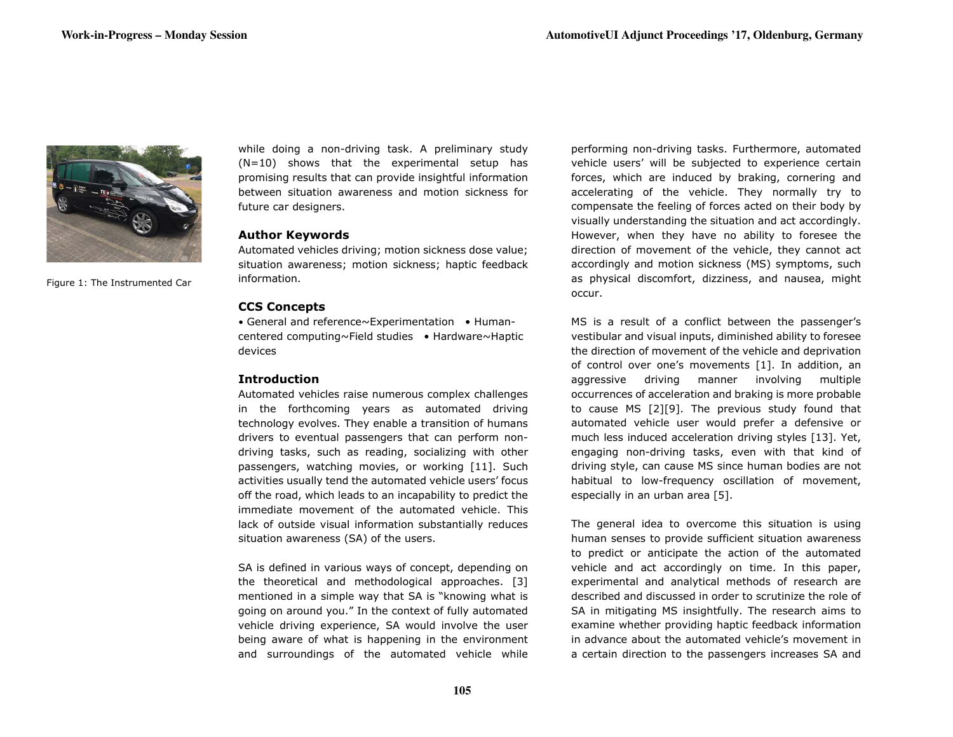

Figure 1: The Instrumented Car

while doing a non-driving task. A preliminary study (N=10) shows that the experimental setup has promising results that can provide insightful information between situation awareness and motion sickness for future car designers.

#### **Author Keywords**

Automated vehicles driving; motion sickness dose value; situation awareness; motion sickness; haptic feedback information.

# **CCS Concepts**

• General and reference~Experimentation • Humancentered computing~Field studies • Hardware~Haptic devices

# **Introduction**

Automated vehicles raise numerous complex challenges in the forthcoming years as automated driving technology evolves. They enable a transition of humans drivers to eventual passengers that can perform nondriving tasks, such as reading, socializing with other passengers, watching movies, or working [11]. Such activities usually tend the automated vehicle users' focus off the road, which leads to an incapability to predict the immediate movement of the automated vehicle. This lack of outside visual information substantially reduces situation awareness (SA) of the users.

SA is defined in various ways of concept, depending on the theoretical and methodological approaches. [3] mentioned in a simple way that SA is "knowing what is going on around you." In the context of fully automated vehicle driving experience, SA would involve the user being aware of what is happening in the environment and surroundings of the automated vehicle while performing non-driving tasks. Furthermore, automated vehicle users' will be subjected to experience certain forces, which are induced by braking, cornering and accelerating of the vehicle. They normally try to compensate the feeling of forces acted on their body by visually understanding the situation and act accordingly. However, when they have no ability to foresee the direction of movement of the vehicle, they cannot act accordingly and motion sickness (MS) symptoms, such as physical discomfort, dizziness, and nausea, might occur.

MS is a result of a conflict between the passenger's vestibular and visual inputs, diminished ability to foresee the direction of movement of the vehicle and deprivation of control over one's movements [1]. In addition, an aggressive driving manner involving multiple occurrences of acceleration and braking is more probable to cause MS [2][9]. The previous study found that automated vehicle user would prefer a defensive or much less induced acceleration driving styles [13]. Yet, engaging non-driving tasks, even with that kind of driving style, can cause MS since human bodies are not habitual to low-frequency oscillation of movement, especially in an urban area [5].

The general idea to overcome this situation is using human senses to provide sufficient situation awareness to predict or anticipate the action of the automated vehicle and act accordingly on time. In this paper, experimental and analytical methods of research are described and discussed in order to scrutinize the role of SA in mitigating MS insightfully. The research aims to examine whether providing haptic feedback information in advance about the automated vehicle's movement in a certain direction to the passengers increases SA and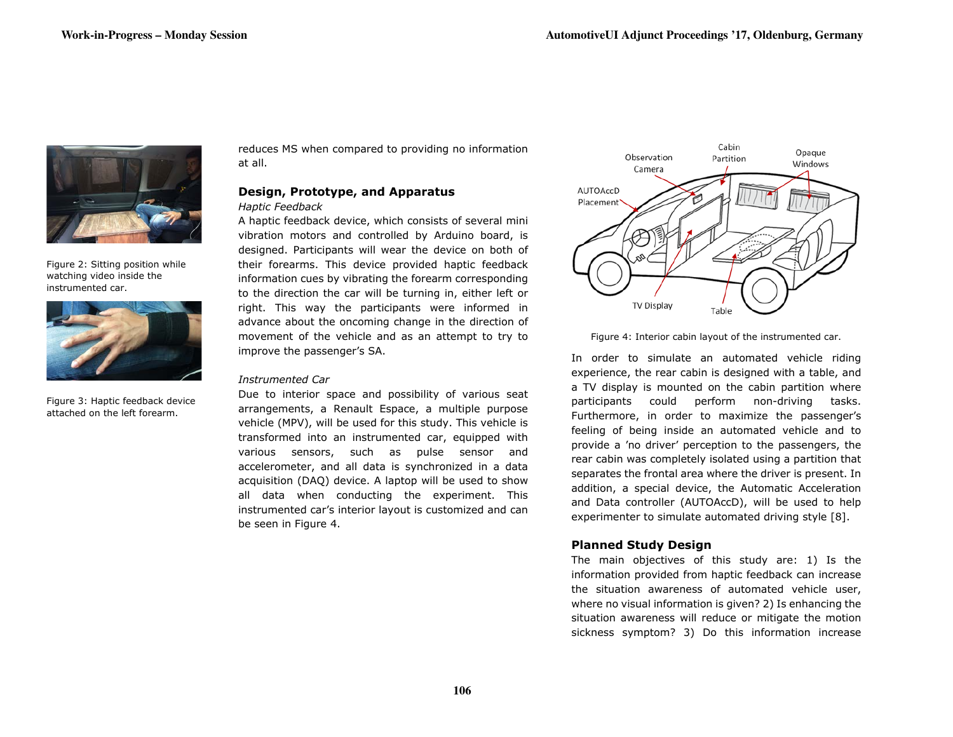

Figure 2: Sitting position while watching video inside the instrumented car.



Figure 3: Haptic feedback device attached on the left forearm.

reduces MS when compared to providing no information at all.

# **Design, Prototype, and Apparatus** *Haptic Feedback*

A haptic feedback device, which consists of several mini vibration motors and controlled by Arduino board, is designed. Participants will wear the device on both of their forearms. This device provided haptic feedback information cues by vibrating the forearm corresponding to the direction the car will be turning in, either left or right. This way the participants were informed in advance about the oncoming change in the direction of movement of the vehicle and as an attempt to try to improve the passenger's SA.

### *Instrumented Car*

Due to interior space and possibility of various seat arrangements, a Renault Espace, a multiple purpose vehicle (MPV), will be used for this study. This vehicle is transformed into an instrumented car, equipped with various sensors, such as pulse sensor and accelerometer, and all data is synchronized in a data acquisition (DAQ) device. A laptop will be used to show all data when conducting the experiment. This instrumented car's interior layout is customized and can be seen in Figure 4.



Figure 4: Interior cabin layout of the instrumented car.

In order to simulate an automated vehicle riding experience, the rear cabin is designed with a table, and a TV display is mounted on the cabin partition where participants could perform non-driving tasks. Furthermore, in order to maximize the passenger's feeling of being inside an automated vehicle and to provide a 'no driver' perception to the passengers, the rear cabin was completely isolated using a partition that separates the frontal area where the driver is present. In addition, a special device, the Automatic Acceleration and Data controller (AUTOAccD), will be used to help experimenter to simulate automated driving style [8].

# **Planned Study Design**

The main objectives of this study are: 1) Is the information provided from haptic feedback can increase the situation awareness of automated vehicle user, where no visual information is given? 2) Is enhancing the situation awareness will reduce or mitigate the motion sickness symptom? 3) Do this information increase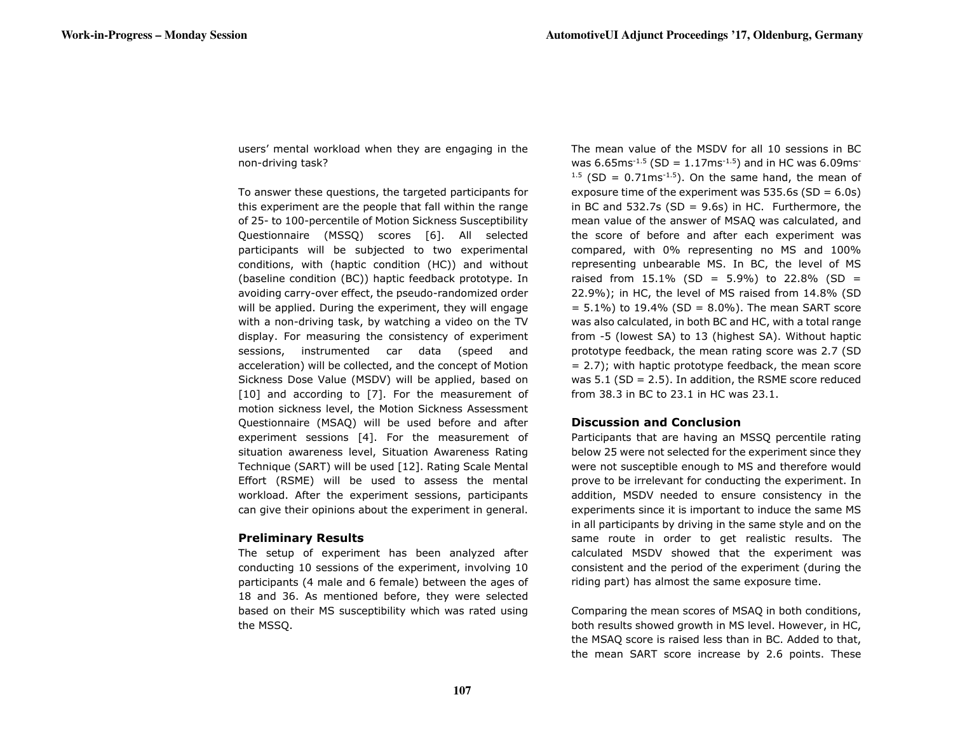users' mental workload when they are engaging in the non-driving task?

To answer these questions, the targeted participants for this experiment are the people that fall within the range of 25- to 100-percentile of Motion Sickness Susceptibility Questionnaire (MSSQ) scores [6]. All selected participants will be subjected to two experimental conditions, with (haptic condition (HC)) and without (baseline condition (BC)) haptic feedback prototype. In avoiding carry-over effect, the pseudo-randomized order will be applied. During the experiment, they will engage with a non-driving task, by watching a video on the TV display. For measuring the consistency of experiment sessions, instrumented car data (speed and acceleration) will be collected, and the concept of Motion Sickness Dose Value (MSDV) will be applied, based on [10] and according to [7]. For the measurement of motion sickness level, the Motion Sickness Assessment Questionnaire (MSAQ) will be used before and after experiment sessions [4]. For the measurement of situation awareness level, Situation Awareness Rating Technique (SART) will be used [12]. Rating Scale Mental Effort (RSME) will be used to assess the mental workload. After the experiment sessions, participants can give their opinions about the experiment in general.

# **Preliminary Results**

The setup of experiment has been analyzed after conducting 10 sessions of the experiment, involving 10 participants (4 male and 6 female) between the ages of 18 and 36. As mentioned before, they were selected based on their MS susceptibility which was rated using the MSSQ.

The mean value of the MSDV for all 10 sessions in BC was  $6.65$ ms<sup>-1.5</sup> (SD = 1.17ms<sup>-1.5</sup>) and in HC was  $6.09$ ms<sup>-</sup>  $1.5$  (SD = 0.71ms<sup>-1.5</sup>). On the same hand, the mean of exposure time of the experiment was  $535.6s$  (SD = 6.0s) in BC and  $532.7s$  (SD = 9.6s) in HC. Furthermore, the mean value of the answer of MSAQ was calculated, and the score of before and after each experiment was compared, with 0% representing no MS and 100% representing unbearable MS. In BC, the level of MS raised from  $15.1\%$  (SD = 5.9%) to 22.8% (SD = 22.9%); in HC, the level of MS raised from 14.8% (SD  $= 5.1\%$ ) to 19.4% (SD = 8.0%). The mean SART score was also calculated, in both BC and HC, with a total range from -5 (lowest SA) to 13 (highest SA). Without haptic prototype feedback, the mean rating score was 2.7 (SD  $= 2.7$ ); with haptic prototype feedback, the mean score was  $5.1$  (SD = 2.5). In addition, the RSME score reduced from 38.3 in BC to 23.1 in HC was 23.1.

# **Discussion and Conclusion**

Participants that are having an MSSQ percentile rating below 25 were not selected for the experiment since they were not susceptible enough to MS and therefore would prove to be irrelevant for conducting the experiment. In addition, MSDV needed to ensure consistency in the experiments since it is important to induce the same MS in all participants by driving in the same style and on the same route in order to get realistic results. The calculated MSDV showed that the experiment was consistent and the period of the experiment (during the riding part) has almost the same exposure time.

Comparing the mean scores of MSAQ in both conditions, both results showed growth in MS level. However, in HC, the MSAQ score is raised less than in BC. Added to that, the mean SART score increase by 2.6 points. These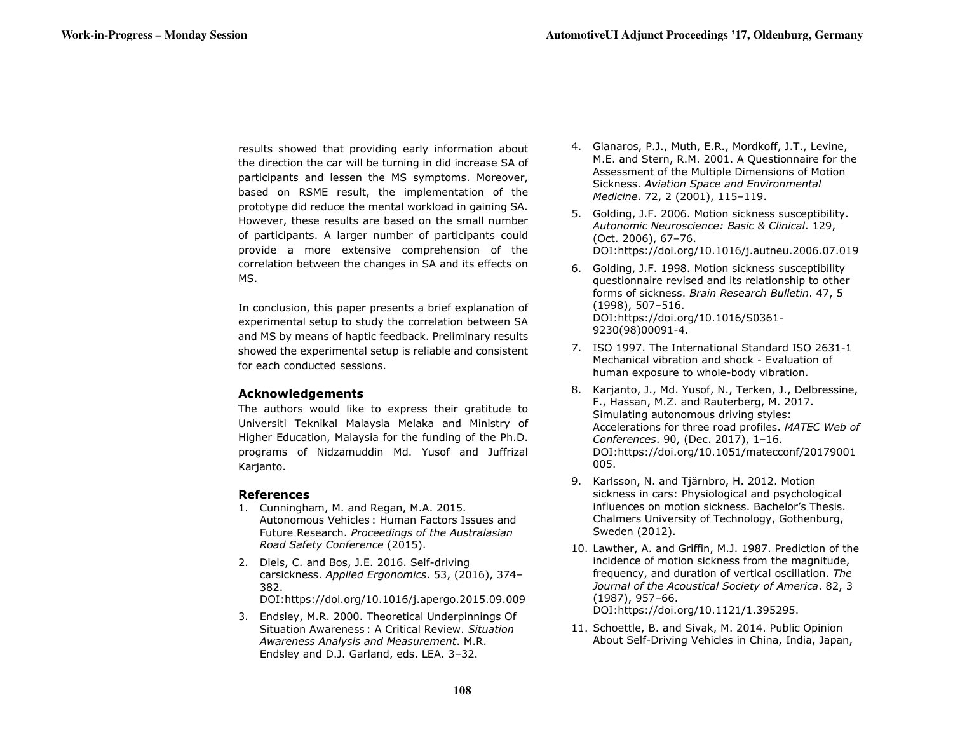results showed that providing early information about the direction the car will be turning in did increase SA of participants and lessen the MS symptoms. Moreover, based on RSME result, the implementation of the prototype did reduce the mental workload in gaining SA. However, these results are based on the small number of participants. A larger number of participants could provide a more extensive comprehension of the correlation between the changes in SA and its effects on MS.

In conclusion, this paper presents a brief explanation of experimental setup to study the correlation between SA and MS by means of haptic feedback. Preliminary results showed the experimental setup is reliable and consistent for each conducted sessions.

# **Acknowledgements**

The authors would like to express their gratitude to Universiti Teknikal Malaysia Melaka and Ministry of Higher Education, Malaysia for the funding of the Ph.D. programs of Nidzamuddin Md. Yusof and Juffrizal Karjanto.

# **References**

- 1. Cunningham, M. and Regan, M.A. 2015. Autonomous Vehicles : Human Factors Issues and Future Research. *Proceedings of the Australasian Road Safety Conference* (2015).
- 2. Diels, C. and Bos, J.E. 2016. Self-driving carsickness. *Applied Ergonomics*. 53, (2016), 374– 382.

DOI:https://doi.org/10.1016/j.apergo.2015.09.009

3. Endsley, M.R. 2000. Theoretical Underpinnings Of Situation Awareness : A Critical Review. *Situation Awareness Analysis and Measurement*. M.R. Endsley and D.J. Garland, eds. LEA. 3–32.

- 4. Gianaros, P.J., Muth, E.R., Mordkoff, J.T., Levine, M.E. and Stern, R.M. 2001. A Questionnaire for the Assessment of the Multiple Dimensions of Motion Sickness. *Aviation Space and Environmental Medicine*. 72, 2 (2001), 115–119.
- 5. Golding, J.F. 2006. Motion sickness susceptibility. *Autonomic Neuroscience: Basic & Clinical*. 129, (Oct. 2006), 67–76. DOI:https://doi.org/10.1016/j.autneu.2006.07.019
- 6. Golding, J.F. 1998. Motion sickness susceptibility questionnaire revised and its relationship to other forms of sickness. *Brain Research Bulletin*. 47, 5 (1998), 507–516. DOI:https://doi.org/10.1016/S0361- 9230(98)00091-4.
- 7. ISO 1997. The International Standard ISO 2631-1 Mechanical vibration and shock - Evaluation of human exposure to whole-body vibration.
- 8. Karjanto, J., Md. Yusof, N., Terken, J., Delbressine, F., Hassan, M.Z. and Rauterberg, M. 2017. Simulating autonomous driving styles: Accelerations for three road profiles. *MATEC Web of Conferences*. 90, (Dec. 2017), 1–16. DOI:https://doi.org/10.1051/matecconf/20179001 005.
- 9. Karlsson, N. and Tjärnbro, H. 2012. Motion sickness in cars: Physiological and psychological influences on motion sickness. Bachelor's Thesis. Chalmers University of Technology, Gothenburg, Sweden (2012).
- 10. Lawther, A. and Griffin, M.J. 1987. Prediction of the incidence of motion sickness from the magnitude, frequency, and duration of vertical oscillation. *The Journal of the Acoustical Society of America*. 82, 3 (1987), 957–66.

DOI:https://doi.org/10.1121/1.395295.

11. Schoettle, B. and Sivak, M. 2014. Public Opinion About Self-Driving Vehicles in China, India, Japan,